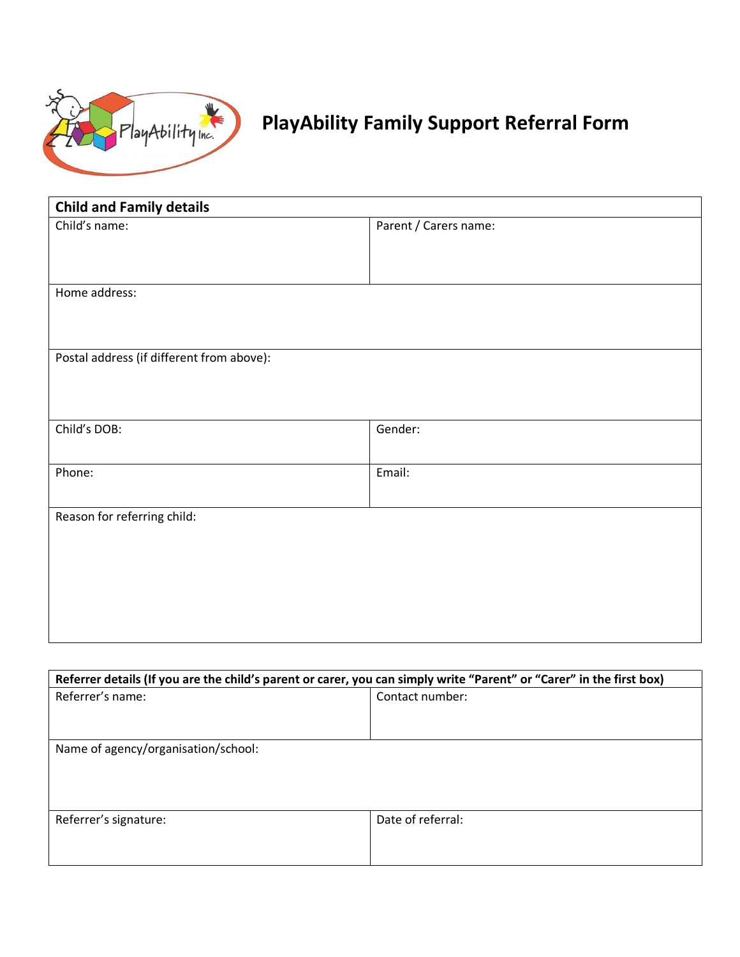

## **PlayAbility Family Support Referral Form**

| <b>Child and Family details</b>           |                       |
|-------------------------------------------|-----------------------|
| Child's name:                             | Parent / Carers name: |
|                                           |                       |
|                                           |                       |
| Home address:                             |                       |
|                                           |                       |
|                                           |                       |
| Postal address (if different from above): |                       |
|                                           |                       |
|                                           |                       |
| Child's DOB:                              | Gender:               |
|                                           |                       |
| Phone:                                    | Email:                |
|                                           |                       |
| Reason for referring child:               |                       |
|                                           |                       |
|                                           |                       |
|                                           |                       |
|                                           |                       |
|                                           |                       |
|                                           |                       |

| Referrer details (If you are the child's parent or carer, you can simply write "Parent" or "Carer" in the first box) |                   |
|----------------------------------------------------------------------------------------------------------------------|-------------------|
| Referrer's name:                                                                                                     | Contact number:   |
|                                                                                                                      |                   |
|                                                                                                                      |                   |
| Name of agency/organisation/school:                                                                                  |                   |
|                                                                                                                      |                   |
|                                                                                                                      |                   |
|                                                                                                                      |                   |
| Referrer's signature:                                                                                                | Date of referral: |
|                                                                                                                      |                   |
|                                                                                                                      |                   |